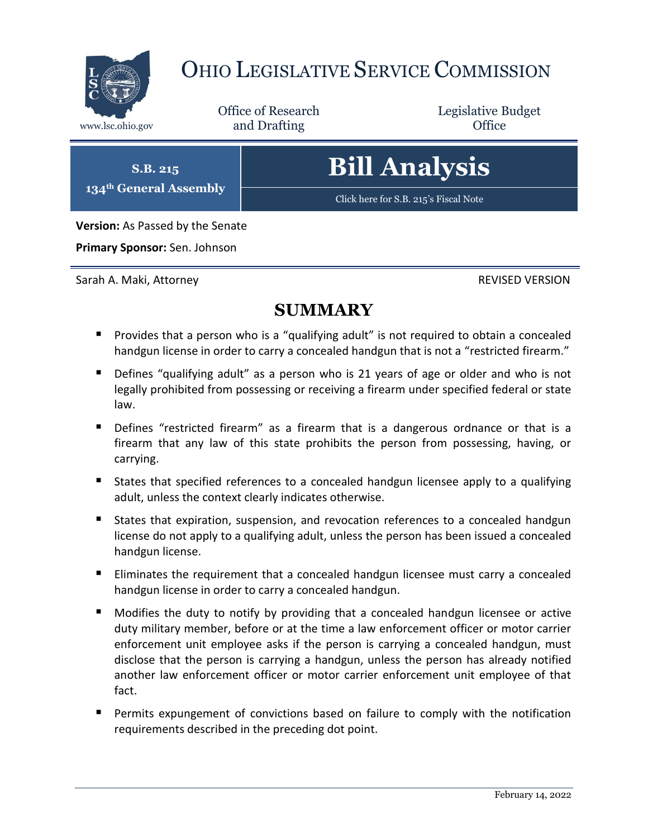

## OHIO LEGISLATIVE SERVICE COMMISSION

Office of Research www.lsc.ohio.gov **and Drafting Office** 

Legislative Budget

**S.B. 215 134th General Assembly**

# **Bill Analysis**

[Click here for S.B. 215](https://www.legislature.ohio.gov/legislation/legislation-documents?id=GA134-SB-215)'s Fiscal Note

**Version:** As Passed by the Senate

**Primary Sponsor:** Sen. Johnson

Sarah A. Maki, Attorney REVISED VERSION

### **SUMMARY**

- **Provides that a person who is a "qualifying adult" is not required to obtain a concealed** handgun license in order to carry a concealed handgun that is not a "restricted firearm."
- Defines "qualifying adult" as a person who is 21 years of age or older and who is not legally prohibited from possessing or receiving a firearm under specified federal or state law.
- **Defines** "restricted firearm" as a firearm that is a dangerous ordnance or that is a firearm that any law of this state prohibits the person from possessing, having, or carrying.
- **States that specified references to a concealed handgun licensee apply to a qualifying** adult, unless the context clearly indicates otherwise.
- States that expiration, suspension, and revocation references to a concealed handgun license do not apply to a qualifying adult, unless the person has been issued a concealed handgun license.
- **Eliminates the requirement that a concealed handgun licensee must carry a concealed** handgun license in order to carry a concealed handgun.
- Modifies the duty to notify by providing that a concealed handgun licensee or active duty military member, before or at the time a law enforcement officer or motor carrier enforcement unit employee asks if the person is carrying a concealed handgun, must disclose that the person is carrying a handgun, unless the person has already notified another law enforcement officer or motor carrier enforcement unit employee of that fact.
- **Permits expungement of convictions based on failure to comply with the notification** requirements described in the preceding dot point.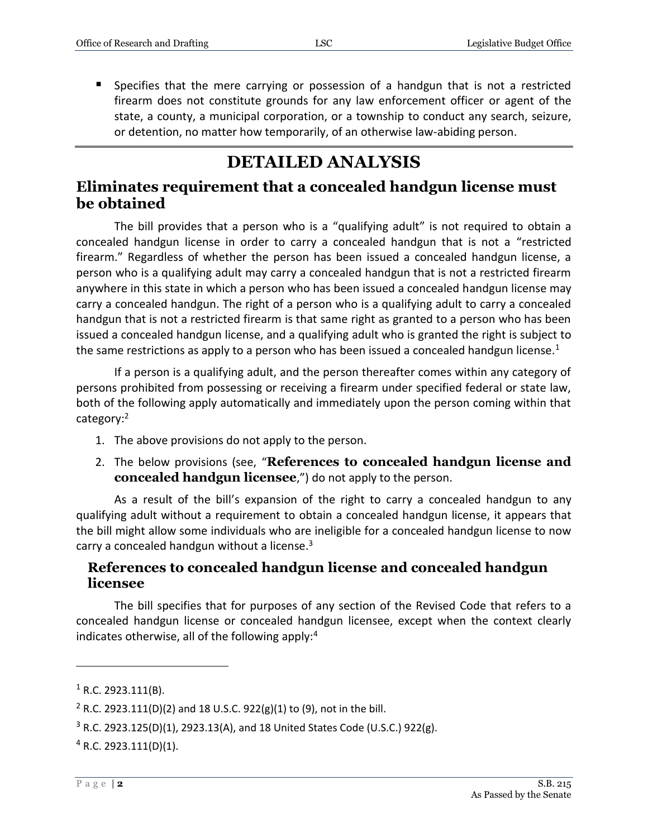**Specifies that the mere carrying or possession of a handgun that is not a restricted** firearm does not constitute grounds for any law enforcement officer or agent of the state, a county, a municipal corporation, or a township to conduct any search, seizure, or detention, no matter how temporarily, of an otherwise law-abiding person.

## **DETAILED ANALYSIS**

#### **Eliminates requirement that a concealed handgun license must be obtained**

The bill provides that a person who is a "qualifying adult" is not required to obtain a concealed handgun license in order to carry a concealed handgun that is not a "restricted firearm." Regardless of whether the person has been issued a concealed handgun license, a person who is a qualifying adult may carry a concealed handgun that is not a restricted firearm anywhere in this state in which a person who has been issued a concealed handgun license may carry a concealed handgun. The right of a person who is a qualifying adult to carry a concealed handgun that is not a restricted firearm is that same right as granted to a person who has been issued a concealed handgun license, and a qualifying adult who is granted the right is subject to the same restrictions as apply to a person who has been issued a concealed handgun license.<sup>1</sup>

If a person is a qualifying adult, and the person thereafter comes within any category of persons prohibited from possessing or receiving a firearm under specified federal or state law, both of the following apply automatically and immediately upon the person coming within that category:<sup>2</sup>

- 1. The above provisions do not apply to the person.
- 2. The below provisions (see, "**References to concealed handgun license and concealed handgun licensee**,") do not apply to the person.

As a result of the bill's expansion of the right to carry a concealed handgun to any qualifying adult without a requirement to obtain a concealed handgun license, it appears that the bill might allow some individuals who are ineligible for a concealed handgun license to now carry a concealed handgun without a license.<sup>3</sup>

#### **References to concealed handgun license and concealed handgun licensee**

The bill specifies that for purposes of any section of the Revised Code that refers to a concealed handgun license or concealed handgun licensee, except when the context clearly indicates otherwise, all of the following apply: $4$ 

 $1$  R.C. 2923.111(B).

<sup>&</sup>lt;sup>2</sup> R.C. 2923.111(D)(2) and 18 U.S.C. 922(g)(1) to (9), not in the bill.

 $3$  R.C. 2923.125(D)(1), 2923.13(A), and 18 United States Code (U.S.C.) 922(g).

<sup>4</sup> R.C. 2923.111(D)(1).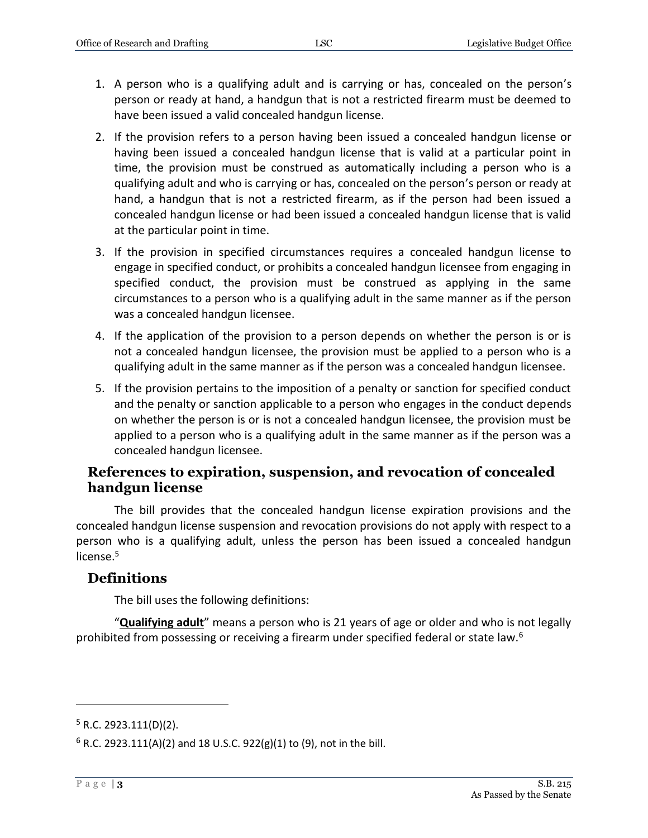- 1. A person who is a qualifying adult and is carrying or has, concealed on the person's person or ready at hand, a handgun that is not a restricted firearm must be deemed to have been issued a valid concealed handgun license.
- 2. If the provision refers to a person having been issued a concealed handgun license or having been issued a concealed handgun license that is valid at a particular point in time, the provision must be construed as automatically including a person who is a qualifying adult and who is carrying or has, concealed on the person's person or ready at hand, a handgun that is not a restricted firearm, as if the person had been issued a concealed handgun license or had been issued a concealed handgun license that is valid at the particular point in time.
- 3. If the provision in specified circumstances requires a concealed handgun license to engage in specified conduct, or prohibits a concealed handgun licensee from engaging in specified conduct, the provision must be construed as applying in the same circumstances to a person who is a qualifying adult in the same manner as if the person was a concealed handgun licensee.
- 4. If the application of the provision to a person depends on whether the person is or is not a concealed handgun licensee, the provision must be applied to a person who is a qualifying adult in the same manner as if the person was a concealed handgun licensee.
- 5. If the provision pertains to the imposition of a penalty or sanction for specified conduct and the penalty or sanction applicable to a person who engages in the conduct depends on whether the person is or is not a concealed handgun licensee, the provision must be applied to a person who is a qualifying adult in the same manner as if the person was a concealed handgun licensee.

#### **References to expiration, suspension, and revocation of concealed handgun license**

The bill provides that the concealed handgun license expiration provisions and the concealed handgun license suspension and revocation provisions do not apply with respect to a person who is a qualifying adult, unless the person has been issued a concealed handgun license.<sup>5</sup>

#### **Definitions**

The bill uses the following definitions:

"**Qualifying adult**" means a person who is 21 years of age or older and who is not legally prohibited from possessing or receiving a firearm under specified federal or state law.<sup>6</sup>

 $5$  R.C. 2923.111(D)(2).

 $6$  R.C. 2923.111(A)(2) and 18 U.S.C. 922(g)(1) to (9), not in the bill.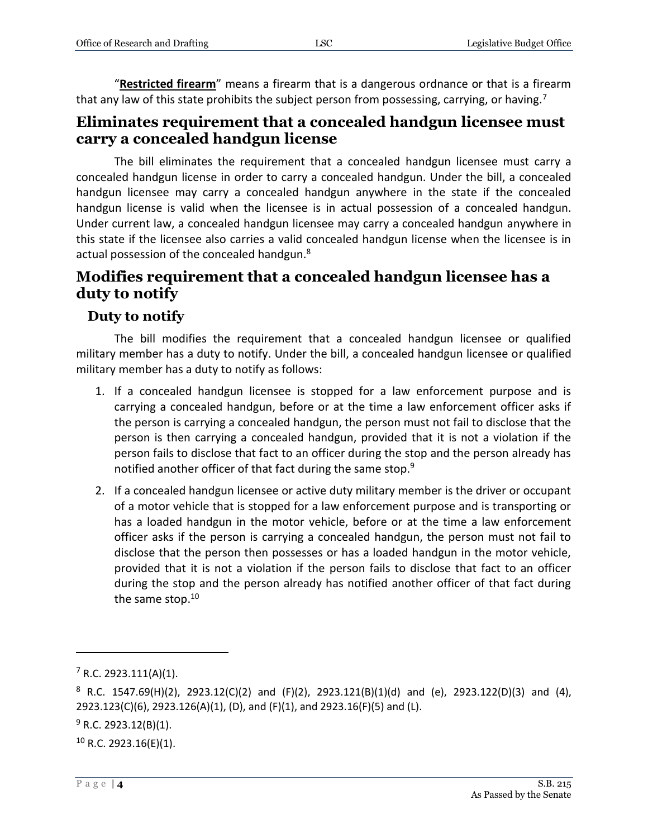"**Restricted firearm**" means a firearm that is a dangerous ordnance or that is a firearm that any law of this state prohibits the subject person from possessing, carrying, or having.<sup>7</sup>

#### **Eliminates requirement that a concealed handgun licensee must carry a concealed handgun license**

The bill eliminates the requirement that a concealed handgun licensee must carry a concealed handgun license in order to carry a concealed handgun. Under the bill, a concealed handgun licensee may carry a concealed handgun anywhere in the state if the concealed handgun license is valid when the licensee is in actual possession of a concealed handgun. Under current law, a concealed handgun licensee may carry a concealed handgun anywhere in this state if the licensee also carries a valid concealed handgun license when the licensee is in actual possession of the concealed handgun.<sup>8</sup>

#### **Modifies requirement that a concealed handgun licensee has a duty to notify**

#### **Duty to notify**

The bill modifies the requirement that a concealed handgun licensee or qualified military member has a duty to notify. Under the bill, a concealed handgun licensee or qualified military member has a duty to notify as follows:

- 1. If a concealed handgun licensee is stopped for a law enforcement purpose and is carrying a concealed handgun, before or at the time a law enforcement officer asks if the person is carrying a concealed handgun, the person must not fail to disclose that the person is then carrying a concealed handgun, provided that it is not a violation if the person fails to disclose that fact to an officer during the stop and the person already has notified another officer of that fact during the same stop.<sup>9</sup>
- 2. If a concealed handgun licensee or active duty military member is the driver or occupant of a motor vehicle that is stopped for a law enforcement purpose and is transporting or has a loaded handgun in the motor vehicle, before or at the time a law enforcement officer asks if the person is carrying a concealed handgun, the person must not fail to disclose that the person then possesses or has a loaded handgun in the motor vehicle, provided that it is not a violation if the person fails to disclose that fact to an officer during the stop and the person already has notified another officer of that fact during the same stop.<sup>10</sup>

 $10$  R.C. 2923.16(E)(1).

 $7 R.C. 2923.111(A)(1)$ .

 $8$  R.C. 1547.69(H)(2), 2923.12(C)(2) and (F)(2), 2923.121(B)(1)(d) and (e), 2923.122(D)(3) and (4), 2923.123(C)(6), 2923.126(A)(1), (D), and (F)(1), and 2923.16(F)(5) and (L).

 $9$  R.C. 2923.12(B)(1).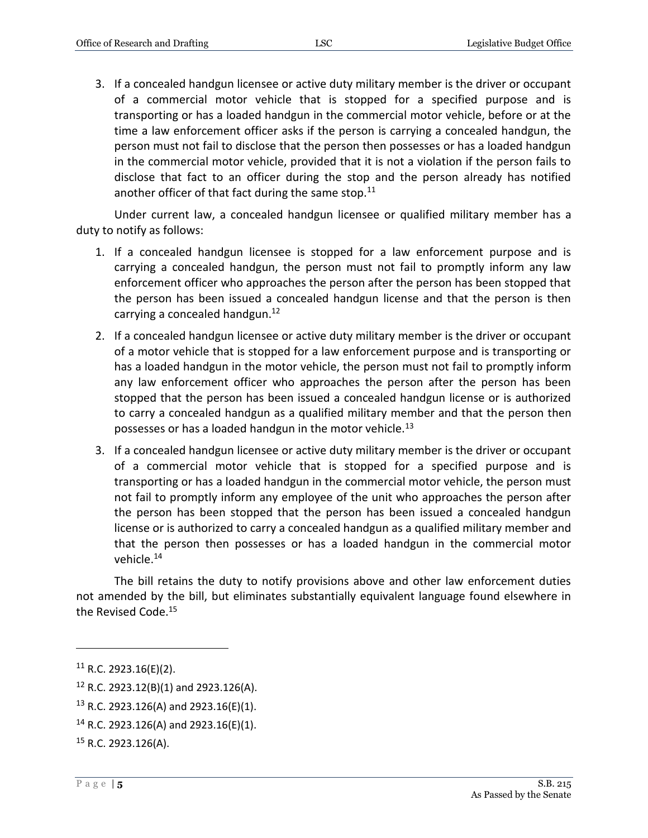3. If a concealed handgun licensee or active duty military member is the driver or occupant of a commercial motor vehicle that is stopped for a specified purpose and is transporting or has a loaded handgun in the commercial motor vehicle, before or at the time a law enforcement officer asks if the person is carrying a concealed handgun, the person must not fail to disclose that the person then possesses or has a loaded handgun in the commercial motor vehicle, provided that it is not a violation if the person fails to disclose that fact to an officer during the stop and the person already has notified another officer of that fact during the same stop. $11$ 

Under current law, a concealed handgun licensee or qualified military member has a duty to notify as follows:

- 1. If a concealed handgun licensee is stopped for a law enforcement purpose and is carrying a concealed handgun, the person must not fail to promptly inform any law enforcement officer who approaches the person after the person has been stopped that the person has been issued a concealed handgun license and that the person is then carrying a concealed handgun.<sup>12</sup>
- 2. If a concealed handgun licensee or active duty military member is the driver or occupant of a motor vehicle that is stopped for a law enforcement purpose and is transporting or has a loaded handgun in the motor vehicle, the person must not fail to promptly inform any law enforcement officer who approaches the person after the person has been stopped that the person has been issued a concealed handgun license or is authorized to carry a concealed handgun as a qualified military member and that the person then possesses or has a loaded handgun in the motor vehicle.<sup>13</sup>
- 3. If a concealed handgun licensee or active duty military member is the driver or occupant of a commercial motor vehicle that is stopped for a specified purpose and is transporting or has a loaded handgun in the commercial motor vehicle, the person must not fail to promptly inform any employee of the unit who approaches the person after the person has been stopped that the person has been issued a concealed handgun license or is authorized to carry a concealed handgun as a qualified military member and that the person then possesses or has a loaded handgun in the commercial motor vehicle.<sup>14</sup>

The bill retains the duty to notify provisions above and other law enforcement duties not amended by the bill, but eliminates substantially equivalent language found elsewhere in the Revised Code.<sup>15</sup>

 $11$  R.C. 2923.16(E)(2).

<sup>12</sup> R.C. 2923.12(B)(1) and 2923.126(A).

<sup>&</sup>lt;sup>13</sup> R.C. 2923.126(A) and 2923.16(E)(1).

<sup>&</sup>lt;sup>14</sup> R.C. 2923.126(A) and 2923.16(E)(1).

<sup>15</sup> R.C. 2923.126(A).